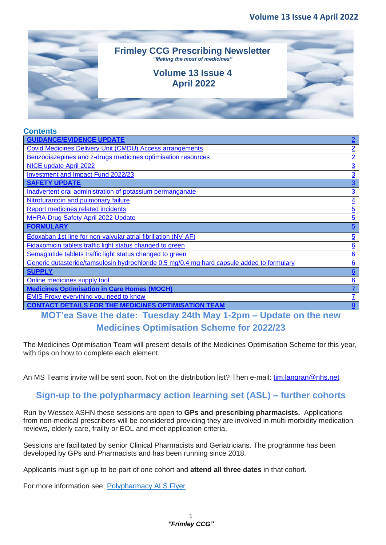

#### **Contents**

| <b>GUIDANCE/EVIDENCE UPDATE</b>                                                            | $\overline{2}$   |
|--------------------------------------------------------------------------------------------|------------------|
| Covid Medicines Delivery Unit (CMDU) Access arrangements                                   | $\overline{2}$   |
| Benzodiazepines and z-drugs medicines optimisation resources                               | $\overline{2}$   |
| NICE update April 2022                                                                     | $\underline{3}$  |
| Investment and Impact Fund 2022/23                                                         | $\overline{3}$   |
| <b>SAFETY UPDATE</b>                                                                       | $\overline{3}$   |
| Inadvertent oral administration of potassium permanganate                                  | $\overline{3}$   |
| Nitrofurantoin and pulmonary failure                                                       | $\overline{4}$   |
| Report medicines related incidents                                                         | $\overline{5}$   |
| <b>MHRA Drug Safety April 2022 Update</b>                                                  | $\overline{5}$   |
| <b>FORMULARY</b>                                                                           | $\overline{5}$   |
| Edoxaban 1st line for non-valvular atrial fibrillation (NV-AF)                             | $\overline{5}$   |
| Fidaxomicin tablets traffic light status changed to green                                  | 6                |
| Semaglutide tablets traffic light status changed to green                                  | 6                |
| Generic dutasteride/tamsulosin hydrochloride 0.5 mg/0.4 mg hard capsule added to formulary | 6                |
| <b>SUPPLY</b>                                                                              | 6                |
| Online medicines supply tool                                                               | 6                |
| <b>Medicines Optimisation in Care Homes (MOCH)</b>                                         |                  |
| <b>EMIS Proxy everything you need to know</b>                                              | $\overline{1}$   |
| <b>CONTACT DETAILS FOR THE MEDICINES OPTIMISATION TEAM</b>                                 | $\boldsymbol{8}$ |

**MOT'ea Save the date: Tuesday 24th May 1-2pm – Update on the new Medicines Optimisation Scheme for 2022/23**

The Medicines Optimisation Team will present details of the Medicines Optimisation Scheme for this year, with tips on how to complete each element.

An MS Teams invite will be sent soon. Not on the distribution list? Then e-mail: tim.langran@nhs.net

#### **Sign-up to the polypharmacy action learning set (ASL) – further cohorts**

Run by Wessex ASHN these sessions are open to **GPs and prescribing pharmacists.** Applications from non-medical prescribers will be considered providing they are involved in multi morbidity medication reviews, elderly care, frailty or EOL and meet application criteria.

Sessions are facilitated by senior Clinical Pharmacists and Geriatricians. The programme has been developed by GPs and Pharmacists and has been running since 2018.

Applicants must sign up to be part of one cohort and **attend all three dates** in that cohort.

For more information see: [Polypharmacy](https://gbr01.safelinks.protection.outlook.com/?url=https%3A%2F%2Fwessexahsn.org.uk%2Fimg%2Fprojects%2FPolypharmacy%2520Flyer%2520Cohort%252013%2520V1.0.pdf&data=04%7C01%7Cheather.bowles%40wessexahsn.net%7C6e373d3887c141b7659608da1617512b%7C83777d80488347de82e432532846a82d%7C0%7C0%7C637846586639810273%7CUnknown%7CTWFpbGZsb3d8eyJWIjoiMC4wLjAwMDAiLCJQIjoiV2luMzIiLCJBTiI6Ik1haWwiLCJXVCI6Mn0%3D%7C0&sdata=ptK5gjFs%2F3VsoJrpsIWEx%2B5iPsLzNAZb5b%2B8Eh6hzZ0%3D&reserved=0) ALS Flyer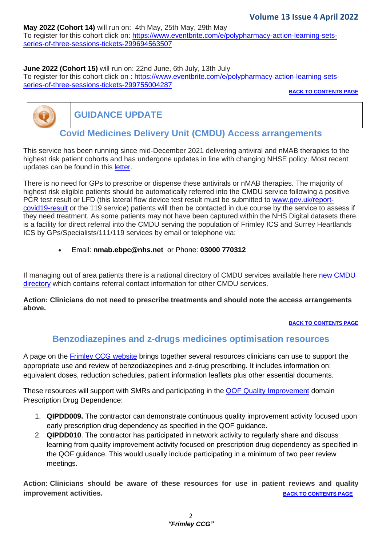### **May 2022 (Cohort 14)** will run on: 4th May, 25th May, 29th May

To register for this cohort click on: [https://www.eventbrite.com/e/polypharmacy-action-learning-sets](https://www.eventbrite.com/e/polypharmacy-action-learning-sets-series-of-three-sessions-tickets-299694563507)[series-of-three-sessions-tickets-299694563507](https://www.eventbrite.com/e/polypharmacy-action-learning-sets-series-of-three-sessions-tickets-299694563507)

#### **June 2022 (Cohort 15)** will run on: 22nd June, 6th July, 13th July

To register for this cohort click on : [https://www.eventbrite.com/e/polypharmacy-action-learning-sets](https://www.eventbrite.com/e/polypharmacy-action-learning-sets-series-of-three-sessions-tickets-299755004287)[series-of-three-sessions-tickets-299755004287](https://www.eventbrite.com/e/polypharmacy-action-learning-sets-series-of-three-sessions-tickets-299755004287)

**BACK TO CONTENTS PAGE**



**GUIDANCE UPDATE**

# **Covid Medicines Delivery Unit (CMDU) Access arrangements**

<span id="page-1-0"></span>This service has been running since mid-December 2021 delivering antiviral and nMAB therapies to the highest risk patient cohorts and has undergone updates in line with changing NHSE policy. Most recent updates can be found in this [letter.](https://www.frimleyccg.nhs.uk/doclink/c1613-action-to-take-contact-your-highest-risk-patients-about-using-lateral-flow-tests-to-access-covid-19-treatments-310322/eyJ0eXAiOiJKV1QiLCJhbGciOiJIUzI1NiJ9.eyJzdWIiOiJjMTYxMy1hY3Rpb24tdG8tdGFrZS1jb250YWN0LXlvdXItaGlnaGVzdC1yaXNrLXBhdGllbnRzLWFib3V0LXVzaW5nLWxhdGVyYWwtZmxvdy10ZXN0cy10by1hY2Nlc3MtY292aWQtMTktdHJlYXRtZW50cy0zMTAzMjIiLCJpYXQiOjE2NDkzMjM0OTcsImV4cCI6MTY0OTQwOTg5N30.qI9fcVZBNVaPwLEPzoxHp_qbmpAfkCdzFFmfLxwydw8)

There is no need for GPs to prescribe or dispense these antivirals or nMAB therapies. The majority of highest risk eligible patients should be automatically referred into the CMDU service following a positive PCR test result or LFD (this lateral flow device test result must be submitted to [www.gov.uk/report](http://www.gov.uk/report-covid19-result)[covid19-result](http://www.gov.uk/report-covid19-result) or the 119 service) patients will then be contacted in due course by the service to assess if they need treatment. As some patients may not have been captured within the NHS Digital datasets there is a facility for direct referral into the CMDU serving the population of Frimley ICS and Surrey Heartlands ICS by GPs/Specialists/111/119 services by email or telephone via:

• Email: **[nmab.ebpc@nhs.net](mailto:nmab.ebpc@nhs.net)** or Phone: **03000 770312**

If managing out of area patients there is a national directory of CMDU services available here new [CMDU](https://digital.nhs.uk/coronavirus/covid-medicine-delivery-unit-directory?key=h58vqkRUup40o27K04xOrtfh7ZXqwRQoOLhXTkGWlbOrVSkwzfTeetw39uGFlc28) [directory](https://digital.nhs.uk/coronavirus/covid-medicine-delivery-unit-directory?key=h58vqkRUup40o27K04xOrtfh7ZXqwRQoOLhXTkGWlbOrVSkwzfTeetw39uGFlc28) which contains referral contact information for other CMDU services.

#### **Action: Clinicians do not need to prescribe treatments and should note the access arrangements above.**

**BACK TO CONTENTS PAGE**

### **Benzodiazepines and z-drugs medicines optimisation resources**

<span id="page-1-1"></span>A page on the [Frimley CCG website](https://www.frimleyccg.nhs.uk/policies-and-documents/medicines-optimisation/prescribing-guidelines-1/central-nervous-system/benzodiazepine-and-z-drugs-discontinuation) brings together several resources clinicians can use to support the appropriate use and review of benzodiazepines and z-drug prescribing. It includes information on: equivalent doses, reduction schedules, patient information leaflets plus other essential documents.

These resources will support with SMRs and participating in the **QOF Quality Improvement** domain Prescription Drug Dependence:

- 1. **QIPDD009.** The contractor can demonstrate continuous quality improvement activity focused upon early prescription drug dependency as specified in the QOF guidance.
- 2. **QIPDD010**. The contractor has participated in network activity to regularly share and discuss learning from quality improvement activity focused on prescription drug dependency as specified in the QOF guidance. This would usually include participating in a minimum of two peer review meetings.

**Action: Clinicians should be aware of these resources for use in patient reviews and quality improvement activities. BACK TO CONTENTS PAGE**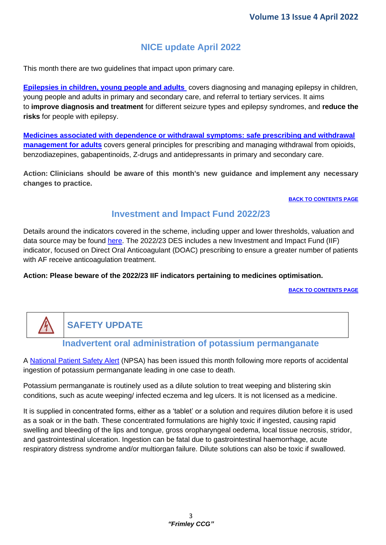# **[NICE update](#page-2-0) April 2022**

<span id="page-2-0"></span>This month there are two guidelines that impact upon primary care.

**[Epilepsies in children, young people and adults](https://www.nice.org.uk/guidance/ng217)** covers diagnosing and managing epilepsy in children, young people and adults in primary and secondary care, and referral to tertiary services. It aims to **improve diagnosis and treatment** for different seizure types and epilepsy syndromes, and **reduce the risks** for people with epilepsy.

**[Medicines associated with dependence or withdrawal symptoms: safe prescribing and withdrawal](https://www.nice.org.uk/guidance/ng215)  [management for adults](https://www.nice.org.uk/guidance/ng215)** covers general principles for prescribing and managing withdrawal from opioids, benzodiazepines, gabapentinoids, Z-drugs and antidepressants in primary and secondary care.

**Action: Clinicians should be aware of this month's new guidance and implement any necessary changes to practice.**

#### **BACK TO CONTENTS PAGE**

### **Investment and Impact Fund 2022/23**

<span id="page-2-1"></span>Details around the indicators covered in the scheme, including upper and lower thresholds, valuation and data source may be found [here.](https://www.england.nhs.uk/wp-content/uploads/2021/08/B0828-iii-annex-b-investment-and-impact-fund-21-22-22-23.pdf) The 2022/23 DES includes a new Investment and Impact Fund (IIF) indicator, focused on Direct Oral Anticoagulant (DOAC) prescribing to ensure a greater number of patients with AF receive anticoagulation treatment.

#### **Action: Please beware of the 2022/23 IIF indicators pertaining to medicines optimisation.**

**BACK TO CONTENTS PAGE**

# **SAFETY UPDATE**

### **Inadvertent oral administration of potassium permanganate**

<span id="page-2-2"></span>A [National Patient Safety Alert](https://www.england.nhs.uk/wp-content/uploads/2022/04/NaPSA-Inadvertent-oral-administration-of-potassium-permanganate-April-2022.pdf) (NPSA) has been issued this month following more reports of accidental ingestion of potassium permanganate leading in one case to death.

Potassium permanganate is routinely used as a dilute solution to treat weeping and blistering skin conditions, such as acute weeping/ infected eczema and leg ulcers. It is not licensed as a medicine.

It is supplied in concentrated forms, either as a 'tablet' or a solution and requires dilution before it is used as a soak or in the bath. These concentrated formulations are highly toxic if ingested, causing rapid swelling and bleeding of the lips and tongue, gross oropharyngeal oedema, local tissue necrosis, stridor, and gastrointestinal ulceration. Ingestion can be fatal due to gastrointestinal haemorrhage, acute respiratory distress syndrome and/or multiorgan failure. Dilute solutions can also be toxic if swallowed.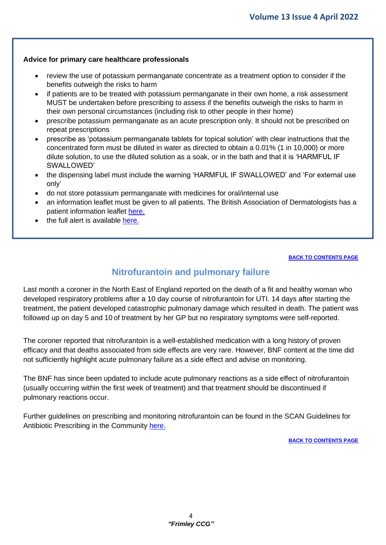#### **Advice for primary care healthcare professionals**

- review the use of potassium permanganate concentrate as a treatment option to consider if the benefits outweigh the risks to harm
- if patients are to be treated with potassium permanganate in their own home, a risk assessment MUST be undertaken before prescribing to assess if the benefits outweigh the risks to harm in their own personal circumstances (including risk to other people in their home)
- prescribe potassium permanganate as an acute prescription only. It should not be prescribed on repeat prescriptions
- prescribe as 'potassium permanganate tablets for topical solution' with clear instructions that the concentrated form must be diluted in water as directed to obtain a 0.01% (1 in 10,000) or more dilute solution, to use the diluted solution as a soak, or in the bath and that it is 'HARMFUL IF SWALLOWED'
- the dispensing label must include the warning 'HARMFUL IF SWALLOWED' and 'For external use only'
- do not store potassium permanganate with medicines for oral/internal use
- an information leaflet must be given to all patients. The British Association of Dermatologists has a patient information leaflet [here.](https://www.bad.org.uk/shared/get-file.ashx?id=7421&itemtype=document)
- the full alert is available [here.](ttps://www.england.nhs.uk/wp-content/uploads/2022/04/NaPSA-Inadvertent-oral-administration-of-potassium-permanganate-April-2022.pdf)

#### **BACK TO CONTENTS PAGE**

### **Nitrofurantoin and pulmonary failure**

<span id="page-3-0"></span>Last month a coroner in the North East of England reported on the death of a fit and healthy woman who developed respiratory problems after a 10 day course of nitrofurantoin for UTI. 14 days after starting the treatment, the patient developed catastrophic pulmonary damage which resulted in death. The patient was followed up on day 5 and 10 of treatment by her GP but no respiratory symptoms were self-reported.

The coroner reported that nitrofurantoin is a well-established medication with a long history of proven efficacy and that deaths associated from side effects are very rare. However, BNF content at the time did not sufficiently highlight acute pulmonary failure as a side effect and advise on monitoring.

The BNF has since been updated to include acute pulmonary reactions as a side effect of nitrofurantoin (usually occurring within the first week of treatment) and that treatment should be discontinued if pulmonary reactions occur.

Further guidelines on prescribing and monitoring nitrofurantoin can be found in the SCAN Guidelines for Antibiotic Prescribing in the Community [here.](https://viewer.microguide.global/SCAN/SCAN#content,fcec4637-fea4-4619-88e3-6e0b06e6ff57)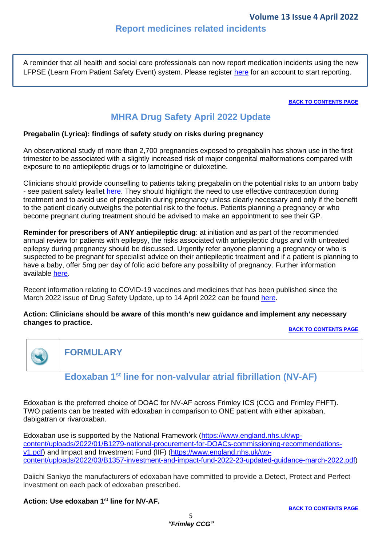<span id="page-4-0"></span>A reminder that all health and social care professionals can now report medication incidents using the new LFPSE (Learn From Patient Safety Event) system. Please register [here](https://record.learn-from-patient-safety-events.nhs.uk/) for an account to start reporting.

**BACK TO CONTENTS PAGE**

# **MHRA Drug Safety April 2022 Update**

#### <span id="page-4-1"></span>**Pregabalin (Lyrica): findings of safety study on risks during pregnancy**

An observational study of more than 2,700 pregnancies exposed to pregabalin has shown use in the first trimester to be associated with a slightly increased risk of major congenital malformations compared with exposure to no antiepileptic drugs or to lamotrigine or duloxetine.

Clinicians should provide counselling to patients taking pregabalin on the potential risks to an unborn baby - see patient safety leaflet [here.](https://assets.publishing.service.gov.uk/government/uploads/system/uploads/attachment_data/file/1070488/Pregabalin-PSL-April_2022_V2.pdf) They should highlight the need to use effective contraception during treatment and to avoid use of pregabalin during pregnancy unless clearly necessary and only if the benefit to the patient clearly outweighs the potential risk to the foetus. Patients planning a pregnancy or who become pregnant during treatment should be advised to make an appointment to see their GP.

**Reminder for prescribers of ANY antiepileptic drug**: at initiation and as part of the recommended annual review for patients with epilepsy, the risks associated with antiepileptic drugs and with untreated epilepsy during pregnancy should be discussed. Urgently refer anyone planning a pregnancy or who is suspected to be pregnant for specialist advice on their antiepileptic treatment and if a patient is planning to have a baby, offer 5mg per day of folic acid before any possibility of pregnancy. Further information available [here.](Action:%20Clinicians%20should%20be%20aware%20of%20this%20month)

Recent information relating to COVID-19 vaccines and medicines that has been published since the March 2022 issue of Drug Safety Update, up to 14 April 2022 can be found [here.](https://www.gov.uk/drug-safety-update/covid-19-vaccines-and-medicines-updates-for-april-2022)

#### **Action: Clinicians should be aware of this month's new guidance and implement any necessary changes to practice.**

**BACK TO CONTENTS PAGE**



<span id="page-4-2"></span>**FORMULARY**

### **Edoxaban 1 st line for non-valvular atrial fibrillation (NV-AF)**

<span id="page-4-3"></span>Edoxaban is the preferred choice of DOAC for NV-AF across Frimley ICS (CCG and Frimley FHFT). TWO patients can be treated with edoxaban in comparison to ONE patient with either apixaban, dabigatran or rivaroxaban.

Edoxaban use is supported by the National Framework [\(https://www.england.nhs.uk/wp](https://www.england.nhs.uk/wp-content/uploads/2022/01/B1279-national-procurement-for-DOACs-commissioning-recommendations-v1.pdf)[content/uploads/2022/01/B1279-national-procurement-for-DOACs-commissioning-recommendations](https://www.england.nhs.uk/wp-content/uploads/2022/01/B1279-national-procurement-for-DOACs-commissioning-recommendations-v1.pdf)[v1.pdf\)](https://www.england.nhs.uk/wp-content/uploads/2022/01/B1279-national-procurement-for-DOACs-commissioning-recommendations-v1.pdf) and Impact and Investment Fund (IIF) [\(https://www.england.nhs.uk/wp](https://www.england.nhs.uk/wp-content/uploads/2022/03/B1357-investment-and-impact-fund-2022-23-updated-guidance-march-2022.pdf)[content/uploads/2022/03/B1357-investment-and-impact-fund-2022-23-updated-guidance-march-2022.pdf\)](https://www.england.nhs.uk/wp-content/uploads/2022/03/B1357-investment-and-impact-fund-2022-23-updated-guidance-march-2022.pdf)

Daiichi Sankyo the manufacturers of edoxaban have committed to provide a Detect, Protect and Perfect investment on each pack of edoxaban prescribed.

#### **Action: Use edoxaban 1 st line for NV-AF.**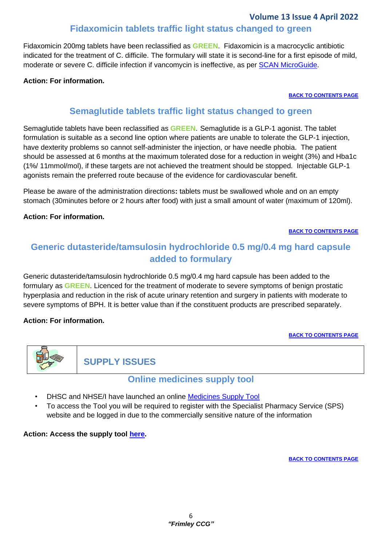#### **Volume 13 Issue 4 April 2022**

### **Fidaxomicin tablets traffic light status changed to green**

<span id="page-5-0"></span>Fidaxomicin 200mg tablets have been reclassified as **GREEN**. Fidaxomicin is a macrocyclic antibiotic indicated for the treatment of C. difficile. The formulary will state it is second-line for a first episode of mild, moderate or severe C. difficile infection if vancomycin is ineffective, as per [SCAN MicroGuide.](https://viewer.microguide.global/SCAN/SCAN)

#### <span id="page-5-1"></span>**Action: For information.**

#### **BACK TO CONTENTS PAGE**

### **Semaglutide tablets traffic light status changed to green**

Semaglutide tablets have been reclassified as **GREEN**. Semaglutide is a GLP-1 agonist. The tablet formulation is suitable as a second line option where patients are unable to tolerate the GLP-1 injection, have dexterity problems so cannot self-administer the injection, or have needle phobia. The patient should be assessed at 6 months at the maximum tolerated dose for a reduction in weight (3%) and Hba1c (1%/ 11mmol/mol), if these targets are not achieved the treatment should be stopped. Injectable GLP-1 agonists remain the preferred route because of the evidence for cardiovascular benefit.

Please be aware of the administration directions**:** tablets must be swallowed whole and on an empty stomach (30minutes before or 2 hours after food) with just a small amount of water (maximum of 120ml).

#### **Action: For information.**

#### **BACK TO CONTENTS PAGE**

# <span id="page-5-2"></span>**Generic dutasteride/tamsulosin hydrochloride 0.5 mg/0.4 mg hard capsule added to formulary**

Generic dutasteride/tamsulosin hydrochloride 0.5 mg/0.4 mg hard capsule has been added to the formulary as **GREEN**. Licenced for the treatment of moderate to severe symptoms of benign prostatic hyperplasia and reduction in the risk of acute urinary retention and surgery in patients with moderate to severe symptoms of BPH. It is better value than if the constituent products are prescribed separately.

#### **Action: For information.**

#### **BACK TO CONTENTS PAGE**



**SUPPLY ISSUES**

### **Online medicines supply tool**

- <span id="page-5-3"></span>**DHSC and NHSE/I have launched an online [Medicines Supply Tool](https://www.sps.nhs.uk/home/planning/medicines-supply-tool/)**
- To access the Tool you will be required to register with the Specialist Pharmacy Service (SPS) website and be logged in due to the commercially sensitive nature of the information

#### **Action: Access the supply tool [here.](https://www.sps.nhs.uk/home/planning/medicines-supply-tool/)**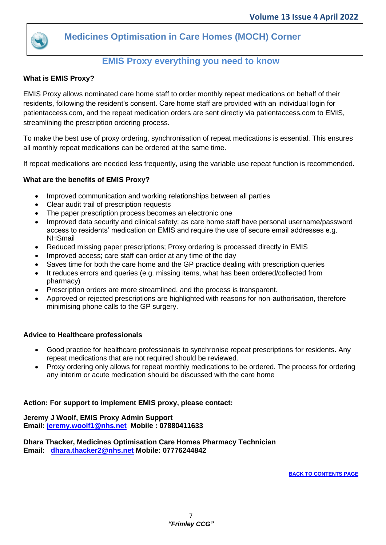

<span id="page-6-0"></span>**Medicines Optimisation in Care Homes (MOCH) Corner**

# **EMIS Proxy everything you need to know**

#### <span id="page-6-1"></span>**What is EMIS Proxy?**

EMIS Proxy allows nominated care home staff to order monthly repeat medications on behalf of their residents, following the resident's consent. Care home staff are provided with an individual login for patientaccess.com, and the repeat medication orders are sent directly via patientaccess.com to EMIS, streamlining the prescription ordering process.

To make the best use of proxy ordering, synchronisation of repeat medications is essential. This ensures all monthly repeat medications can be ordered at the same time.

If repeat medications are needed less frequently, using the variable use repeat function is recommended.

#### **What are the benefits of EMIS Proxy?**

- Improved communication and working relationships between all parties
- Clear audit trail of prescription requests
- The paper prescription process becomes an electronic one
- Improved data security and clinical safety; as care home staff have personal username/password access to residents' medication on EMIS and require the use of secure email addresses e.g. NHSmail
- Reduced missing paper prescriptions; Proxy ordering is processed directly in EMIS
- Improved access; care staff can order at any time of the day
- Saves time for both the care home and the GP practice dealing with prescription queries
- It reduces errors and queries (e.g. missing items, what has been ordered/collected from pharmacy)
- Prescription orders are more streamlined, and the process is transparent.
- Approved or rejected prescriptions are highlighted with reasons for non-authorisation, therefore minimising phone calls to the GP surgery.

#### **Advice to Healthcare professionals**

- Good practice for healthcare professionals to synchronise repeat prescriptions for residents. Any repeat medications that are not required should be reviewed.
- Proxy ordering only allows for repeat monthly medications to be ordered. The process for ordering any interim or acute medication should be discussed with the care home

#### **Action: For support to implement EMIS proxy, please contact:**

**Jeremy J Woolf, EMIS Proxy Admin Support Email: [jeremy.woolf1@nhs.net](mailto:jeremy.woolf1@nhs.net) Mobile : 07880411633**

**Dhara Thacker, Medicines Optimisation Care Homes Pharmacy Technician Email: [dhara.thacker2@nhs.net](mailto:dhara.thacker2@nhs.net) Mobile: 07776244842**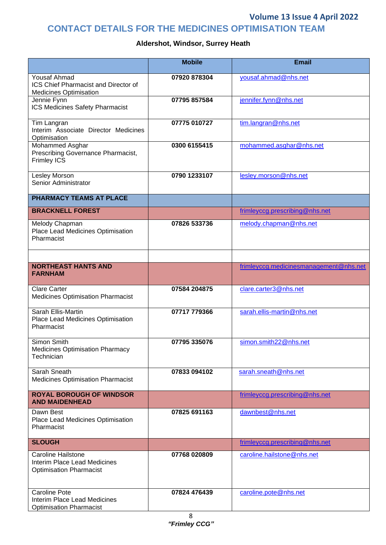### **Volume 13 Issue 4 April 2022**

# **CONTACT DETAILS FOR THE MEDICINES OPTIMISATION TEAM**

### **Aldershot, Windsor, Surrey Heath**

|                                                                                               | <b>Mobile</b> | <b>Email</b>                           |
|-----------------------------------------------------------------------------------------------|---------------|----------------------------------------|
| <b>Yousaf Ahmad</b><br>ICS Chief Pharmacist and Director of<br><b>Medicines Optimisation</b>  | 07920 878304  | yousaf.ahmad@nhs.net                   |
| Jennie Fynn<br>ICS Medicines Safety Pharmacist                                                | 07795 857584  | jennifer.fynn@nhs.net                  |
| Tim Langran<br>Interim Associate Director Medicines<br>Optimisation                           | 07775 010727  | tim.langran@nhs.net                    |
| Mohammed Asghar<br>Prescribing Governance Pharmacist,<br><b>Frimley ICS</b>                   | 0300 6155415  | mohammed.asghar@nhs.net                |
| Lesley Morson<br>Senior Administrator                                                         | 0790 1233107  | lesley.morson@nhs.net                  |
| <b>PHARMACY TEAMS AT PLACE</b>                                                                |               |                                        |
| <b>BRACKNELL FOREST</b>                                                                       |               | frimleyccg.prescribing@nhs.net         |
| Melody Chapman<br>Place Lead Medicines Optimisation<br>Pharmacist                             | 07826 533736  | melody.chapman@nhs.net                 |
|                                                                                               |               |                                        |
| <b>NORTHEAST HANTS AND</b><br><b>FARNHAM</b>                                                  |               | frimleyccg.medicinesmanagement@nhs.net |
| <b>Clare Carter</b><br><b>Medicines Optimisation Pharmacist</b>                               | 07584 204875  | clare.carter3@nhs.net                  |
| Sarah Ellis-Martin<br>Place Lead Medicines Optimisation<br>Pharmacist                         | 07717 779366  | sarah.ellis-martin@nhs.net             |
| Simon Smith<br><b>Medicines Optimisation Pharmacy</b><br>Technician                           | 07795 335076  | simon.smith22@nhs.net                  |
| Sarah Sneath<br><b>Medicines Optimisation Pharmacist</b>                                      | 07833 094102  | sarah.sneath@nhs.net                   |
| <b>ROYAL BOROUGH OF WINDSOR</b><br><b>AND MAIDENHEAD</b>                                      |               | frimleyccg.prescribing@nhs.net         |
| Dawn Best<br>Place Lead Medicines Optimisation<br>Pharmacist                                  | 07825 691163  | dawnbest@nhs.net                       |
| <b>SLOUGH</b>                                                                                 |               | frimleyccg.prescribing@nhs.net         |
| <b>Caroline Hailstone</b><br>Interim Place Lead Medicines<br><b>Optimisation Pharmacist</b>   | 07768 020809  | caroline.hailstone@nhs.net             |
| <b>Caroline Pote</b><br><b>Interim Place Lead Medicines</b><br><b>Optimisation Pharmacist</b> | 07824 476439  | caroline.pote@nhs.net                  |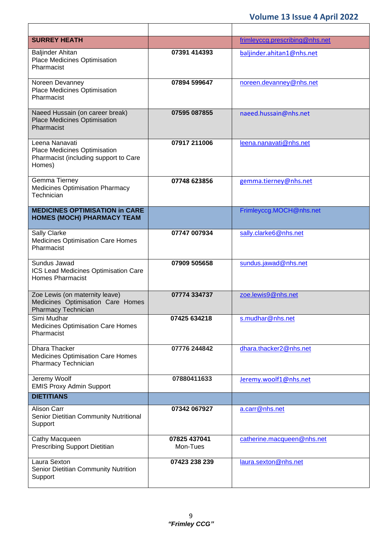| <b>SURREY HEATH</b>                                                                               |                          | frimleyccg.prescribing@nhs.net |
|---------------------------------------------------------------------------------------------------|--------------------------|--------------------------------|
| <b>Baljinder Ahitan</b><br>Place Medicines Optimisation<br>Pharmacist                             | 07391 414393             | baljinder.ahitan1@nhs.net      |
| Noreen Devanney<br>Place Medicines Optimisation<br>Pharmacist                                     | 07894 599647             | noreen.devanney@nhs.net        |
| Naeed Hussain (on career break)<br>Place Medicines Optimisation<br>Pharmacist                     | 07595 087855             | naeed.hussain@nhs.net          |
| Leena Nanavati<br>Place Medicines Optimisation<br>Pharmacist (including support to Care<br>Homes) | 07917 211006             | leena.nanavati@nhs.net         |
| Gemma Tierney<br><b>Medicines Optimisation Pharmacy</b><br>Technician                             | 07748 623856             | gemma.tierney@nhs.net          |
| <b>MEDICINES OPTIMISATION in CARE</b><br><b>HOMES (MOCH) PHARMACY TEAM</b>                        |                          | Frimleyccg.MOCH@nhs.net        |
| Sally Clarke<br><b>Medicines Optimisation Care Homes</b><br>Pharmacist                            | 07747 007934             | sally.clarke6@nhs.net          |
| Sundus Jawad<br>ICS Lead Medicines Optimisation Care<br><b>Homes Pharmacist</b>                   | 07909 505658             | sundus.jawad@nhs.net           |
| Zoe Lewis (on maternity leave)<br>Medicines Optimisation Care Homes<br>Pharmacy Technician        | 07774 334737             | zoe.lewis9@nhs.net             |
| Simi Mudhar<br>Medicines Optimisation Care Homes<br>Pharmacist                                    | 07425 634218             | s.mudhar@nhs.net               |
| Dhara Thacker<br><b>Medicines Optimisation Care Homes</b><br>Pharmacy Technician                  | 07776 244842             | dhara.thacker2@nhs.net         |
| Jeremy Woolf<br><b>EMIS Proxy Admin Support</b>                                                   | 07880411633              | Jeremy.woolf1@nhs.net          |
| <b>DIETITIANS</b>                                                                                 |                          |                                |
| Alison Carr<br>Senior Dietitian Community Nutritional<br>Support                                  | 07342 067927             | a.carr@nhs.net                 |
| Cathy Macqueen<br><b>Prescribing Support Dietitian</b>                                            | 07825 437041<br>Mon-Tues | catherine.macqueen@nhs.net     |
| Laura Sexton<br>Senior Dietitian Community Nutrition<br>Support                                   | 07423 238 239            | laura.sexton@nhs.net           |